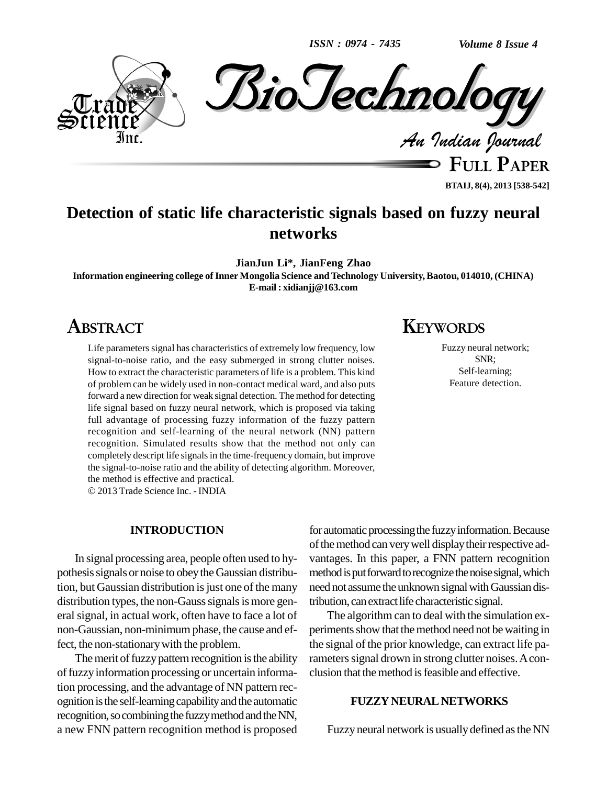*ISSN : 0974 - 7435*

*Volume 8 Issue 4*



**BTAIJ, 8(4), 2013 [538-542]**

# **Detection of static life characteristic signals based on fuzzy neural networks**

**JianJun Li\*, JianFeng Zhao**

**Information engineering college ofInner Mongolia Science and Technology University,Baotou, 014010, (CHINA) E-mail : [xidianjj@163.com](mailto:xidianjj@163.com)**

# **ABSTRACT**

Life parameters signal has characteristics of extremely low frequency, low signal-to-noise ratio, and the easy submerged in strong clutter noises. How to extract the characteristic parameters of life is a problem. This kind of problem can be widely used in non-contact medical ward, and also puts forward a new direction for weak signal detection. The method for detecting life signal based on fuzzy neural network, which is proposed via taking full advantage of processing fuzzy information of the fuzzy pattern recognition and self-learning of the neural network (NN) pattern recognition. Simulated results show that the method not only can completely descript life signalsin the time-frequency domain, but improve the signal-to-noise ratio and the ability of detecting algorithm. Moreover, the method is effective and practical.

2013 Trade Science Inc. - INDIA

### **INTRODUCTION**

In signal processing area, people often used to hy pothesissignals or noise to obeytheGaussian distribution, but Gaussian distribution is just one of the many distribution types, the non-Gauss signals is more general signal, in actual work, often have to face a lot of non-Gaussian, non-minimumphase, the cause and effect, the non-stationary with the problem.

The merit of fuzzy pattern recognition is the ability of fuzzy information processing or uncertain information processing, and the advantage of NN pattern rec ognition is the self-learning capability and the automatic recognition, so combining the fuzzy method and the NN, a new FNN pattern recognition method is proposed for automatic processing the fuzzy information. Because of the method can very well display their respective advantages. In this paper, a FNN pattern recognition method is put forward to recognize the noise signal, which need not assume the unknown signal with Gaussian distribution, canextractlife characteristic signal.

The algorithm can to deal with the simulation ex periments show that the method need not be waiting in the signal of the prior knowledge, can extract life parameters signal drown in strong clutter noises. A conclusion that the method is feasible and effective.

#### **FUZZYNEURALNETWORKS**

Fuzzy neural network is usually defined as the NN

# **KEYWORDS**

Fuzzy neural network; SNR; Self-learning; Feature detection.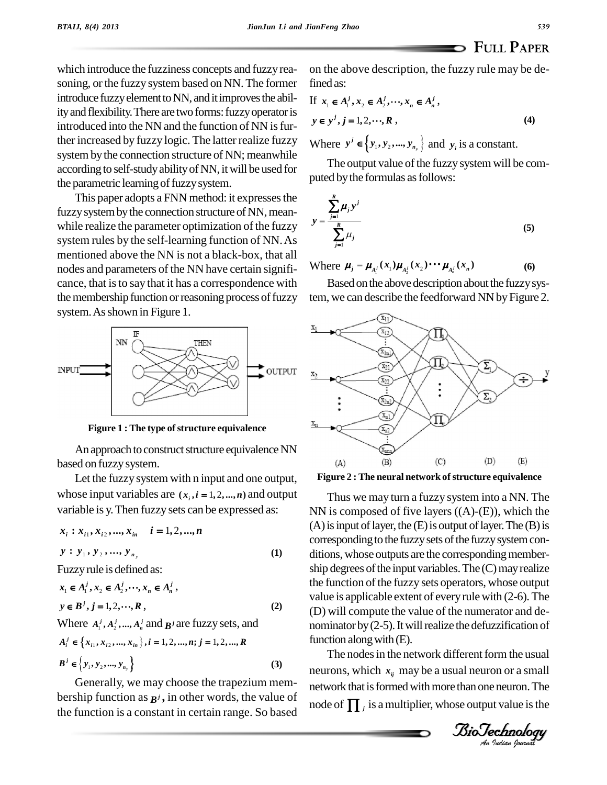which introduce the fuzziness concepts and fuzzy reasoning, or the fuzzy system based on NN. The former introduce fuzzy element to NN, and it improves the ability and flexibility. There are two forms: fuzzy operator is introduced into the NN and the function of NN is further increased by fuzzy logic. The latter realize fuzzy system by the connection structure of NN; meanwhile according to self-studyabilityofNN, itwill be used for the parametric learning of fuzzy system.

This paper adopts a FNN method: it expresses the fuzzy system by the connection structure of NN, meanwhile realize the parameter optimization of the fuzzy system rules by the self-learning function of NN.As mentioned above the NN is not a black-box, that all nodes and parameters of the NN have certain significance, that is to say that it has a correspondence with the membership function or reasoning process of fuzzy system. As shown in Figure 1.



**Figure 1 :** The type of structure equivalence

An approach to construct structure equivalence NN based on fuzzysystem.

Let the fuzzy system with n input and one output, Let the fuzzy system with n input and one output, <br>whose input variables are  $(x_i, i = 1, 2, \dots, n)$  and output variable is y. Then fuzzy sets can be expressed as:<br> $x_i : x_{i1}, x_{i2}, ..., x_{in} \quad i = 1, 2, ..., n$ 

$$
x_i : x_{i1}, x_{i2}, ..., x_{in} \quad i = 1, 2, ..., n
$$
  
\n
$$
y : y_1, y_2, ..., y_{n_y}
$$
  
\nFuzzy rule is defined as:  
\n
$$
x_1 \in A_1^j, x_2 \in A_2^j, ..., x_n \in A_n^j,
$$
  
\n(1)

$$
x_1 \in A_1^j, x_2 \in A_2^j, \dots, x_n \in A_n^j,
$$
  
\n
$$
y \in B^j, j = 1, 2, \dots, R,
$$
  
\nWhere  $A_1^j, A_2^j, \dots, A_n^j$  and  $B^j$  are fuzzy sets, and  
\n
$$
A_i^j \in \{x_{i1}, x_{i2}, \dots, x_{in}\}, i = 1, 2, \dots, n; j = 1, 2, \dots, R
$$
  
\n
$$
B^j \in \{y_1, y_2, \dots, y_{n_y}\}
$$
  
\n(3)

Generally, we may choose the trapezium mem bership function as  $\mathbf{B}^j$ , in other words, the value of the function is a constant in certain range. So based on the above description, the fuzzy rule may be defined as: d as:<br>  $x_1 \in A_1^j, x_2 \in A_2^j, \dots, x_n \in A_n^j$ ,

If 
$$
x_1 \in A_1^j, x_2 \in A_2^j, \dots, x_n \in A_n^j
$$
,  
\n $y \in y^j, j = 1, 2, \dots, R$ , (4)  
\nWhere  $y^j \in \{y_1, y_2, \dots, y_{n_y}\}$  and  $y_i$  is a constant.

*j*

The output value of the fuzzy system will be computed by the formulas as follows:

The output value of the fuzzy system with be computed by the formulas as follows:  
\n
$$
y = \frac{\sum_{j=1}^{R} \mu_j y^j}{\sum_{j=1}^{R} \mu_j}
$$
\n(5)  
\nWhere  $\mu_j = \mu_{A_i^j}(x_1) \mu_{A_2^j}(x_2) \cdots \mu_{A_n^j}(x_n)$  (6)

Based on the above description about the fuzzy system, we can describe the feedforward NN by Figure 2.





(D) will compute the value of the numerator and de-<br>nominator by (2-5). It will realize the defuzzification of Thus we may turn a fuzzy system into a NN. The NN is composed of five layers  $((A)-(E))$ , which the  $(A)$  is input of layer, the  $(E)$  is output of layer. The  $(B)$  is corresponding to the fuzzy sets of the fuzzy system conditions, whose outputs are the corresponding membership degrees of the input variables. The  $(C)$  may realize the function of the fuzzy sets operators, whose output value is applicable extent of everyrule with (2-6). The (D) will compute the value of the numerator and de function along with  $(E)$ .

The nodes in the network different form the usual *Increases in the hetwork direct from the usual*<br>
neurons, which  $x_{ij}$  may be a usual neuron or a small<br>
network that is formed with more than one neuron. The<br>
node of  $\prod_{j}$  is a multiplier, whose output value is the<br> neurons, which  $x_{ij}$  may be a usual neuron or a small network that is formed with more than one neuron. The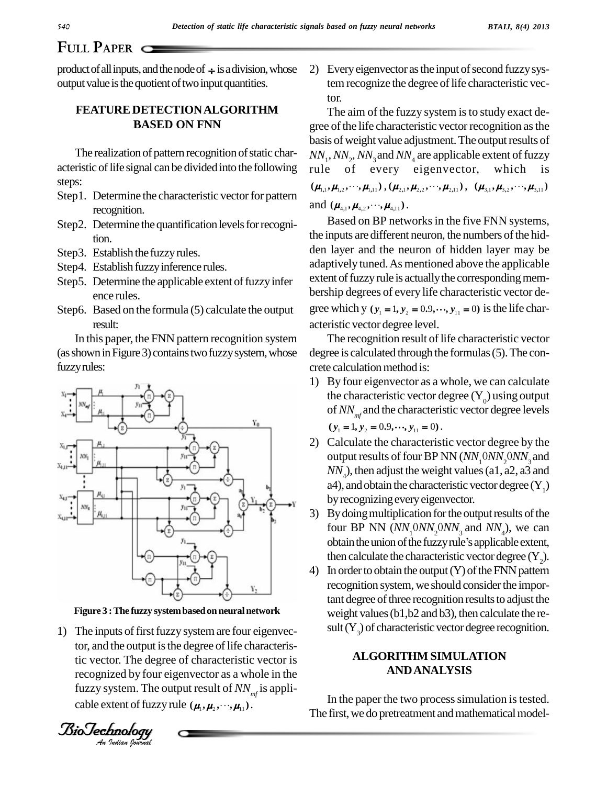# **FULL PAPER**

product of all inputs, and the node of  $\div$  is a division, whose output value is the quotient of two input quantities.

# **FEATURE DETECTIONALGORITHM BASED ON FNN**

The realization of pattern recognition of static characteristic of life signal can be divided into the following steps:

- Step1. Determine the characteristic vector for pattern<br>and  $(\mu_{4,1}, \mu_{4,2}, \cdots, \mu_{4,1})$ . recognition.
- Step2. Determine the quantification levels for recognition.
- Step3. Establish the fuzzy rules.
- Step4. Establish fuzzy inference rules.
- Step5. Determine the applicable extent of fuzzy infer ence rules.
- Step6. Based on the formula (5) calculate the output result:

In this paper, the FNN pattern recognition system (as shown in Figure 3) contains two fuzzy system, whose fuzzyrules:



Figure 3 **:** The fuzzy system based on neural network

*An*tic vector. The degree of characteristic vector is 1) The inputs of first fuzzy system are four eigenvector, and the output is the degree of life characterisrecognized by four eigenvector as a whole in the fuzzy system. The output result of  $NN_{mf}$  is appli-<br>cable extent of fuzzy rule  $(\mu_1, \mu_2, \dots, \mu_{11})$ .

*Cable extent of fuzzy rule*  $(\mu_1, \mu_2, \dots, \mu_n)$ .<br>*<i>Journal An Indian Journal* 

2) Every eigenvector as the input of second fuzzy system recognize the degree of life characteristic vector.

The aim of the fuzzy system is to study exact degree of the life characteristic vector recognition as the basis of weight value adjustment. The output results of  $NN_1, NN_2, NN_3$  and  $NN_4$  are applicable extent of fuzzy rule of every eigenvector, which is<br>  $(\mu_{1,1}, \mu_{1,2}, \dots, \mu_{1,1}), (\mu_{2,1}, \mu_{2,2}, \dots, \mu_{2,1}), (\mu_{3,1}, \mu_{3,2}, \dots, \mu_{3,1})$  $(\mu_{1,1}, \mu_{1,2}, \cdots, \mu_{1,11}), (\mu_{2,1}, \mu_{2,2}, \cdots, \mu_{2,11}), (\mu_{3,1}, \mu_{3,2}, \cdots, \mu_{3,11})$ <br>and  $(\mu_{4,1}, \mu_{4,2}, \cdots, \mu_{4,11}).$ <br>Based on BP networks in the five FNN systems,

the inputs are different neuron, the numbers of the hidden layer and the neuron of hidden layer may be adaptively tuned.As mentioned above the applicable extent of fuzzy rule is actually the corresponding membership degrees of every life characteristic vector de gree which y  $(y_1 = 1, y_2 = 0.9, \dots, y_{11} = 0)$  is the life characteristic vector degree level.

The recognition result of life characteristic vector degree is calculated through the formulas(5).The con crete calculation method is:

- 1) By four eigenvector as a whole, we can calculate the characteristic vector degree  $(Y_0)$  using output of  $NN_{mf}$  and the characteristic vector degree levels<br>  $(y_1 = 1, y_2 = 0.9, \dots, y_{11} = 0)$ .
- 2) Calculate the characteristic vector degree by the output results of four BP NN (*NN*<sub>1</sub>0*NN*<sub>2</sub>0*NN*<sub>3</sub> and  $NN<sub>4</sub>$ ), then adjust the weight values (a1, a2, a3 and a4), and obtain the characteristic vector degree  $(Y_1)$ by recognizing every eigenvector.
- 3) By doing multiplication for the output results of the four BP NN  $(NN_1^0 N_2^0 N_3^0)$  and  $NN_4$ ), we can By doing multiplication for the output results of the<br>four BP NN  $(NN_10NN_20NN_3$  and  $NN_4$ ), we can<br>obtain the union of the fuzzy rule's applicable extent, then calculate the characteristic vector degree  $(Y_2)$ .<br>4) In order to obtain the output (Y) of the FNN pattern
- recognition system, we should consider the important degree of three recognition results to adjust the weight values (b1, b2 and b3), then calculate the result  $(Y_3)$  of characteristic vector degree recognition.

## **ALGORITHM SIMULATION ANDANALYSIS**

In the paper the two process simulation is tested. The first, we do pretreatment and mathematical model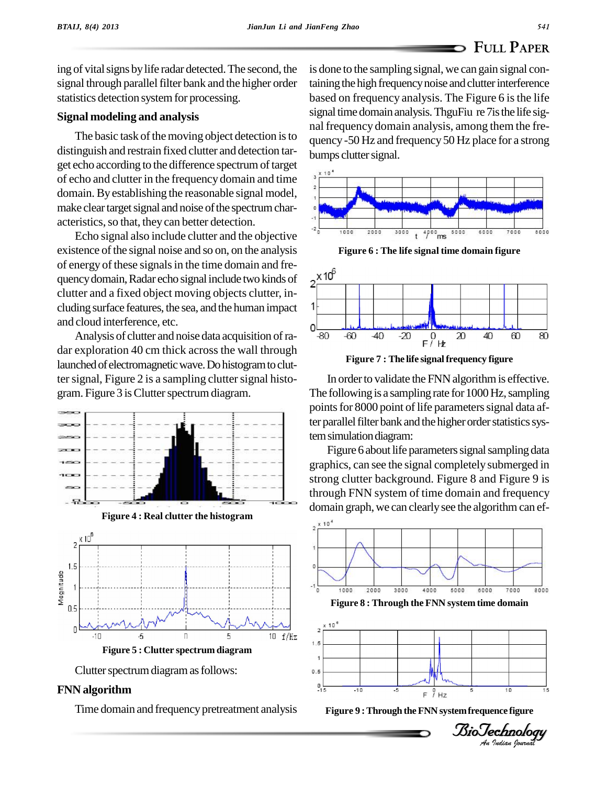ing of vital signs by life radar detected. The second, the signal through parallel filter bank and the higher order statistics detection system for processing.

### **Signal modeling and analysis**

The basic task of the moving object detection is to distinguish and restrain fixed clutter and detection tar get echo according to the difference spectrumoftarget of echo and clutter in the frequency domain and time domain.By establishing the reasonable signal model, make clear target signal and noise of the spectrum characteristics, so that, they can better detection.

Echo signal also include clutter and the objective existence of the signal noise and so on, on the analysis of energy of these signals in the time domain and frequency domain, Radar echo signal include two kinds of  $X10^6$ quencydomain,Radar echo signalinclude two kinds of clutter and a fixed object moving objects clutter, in cluding surface features, the sea, and the human impact and cloud interference, etc.

Analysis of clutter and noise data acquisition of ra- $\frac{0}{80}$ dar exploration 40 cm thick across the wall through launched of electromagnetic wave. Do histogram to clutter signal, Figure 2 is a sampling clutter signal histogram. Figure 3 is Clutter spectrum diagram.



**Figure 4 : Real clutter the histogram**





### **FNN algorithm**

Time domain and frequency pretreatment analysis

is done to the sampling signal, we can gain signal containing the high frequency noise and clutter interference based on frequency analysis. The Figure 6 is the life signal time domain analysis. ThguFiu re 7 is the life signal frequency domain analysis, among them the fre quency -50 Hz and frequency 50 Hz place for a strong bumps clutter signal.



**Figure 6 : The life signal time domain figure**



**Figure** 7 : The life signal frequency figure

In order to validate the FNN algorithm is effective. The following is a sampling rate for 1000 Hz, sampling points for 8000 point of life parameters signal data after parallel filter bank and the higher order statistics system simulation diagram:

Figure 6 about life parameters signal sampling data graphics, can see the signal completely submerged in strong clutter background. Figure 8 and Figure 9 is through FNN system of time domain and frequency domain graph, we can clearly see the algorithm can ef-





*Indian Journal*